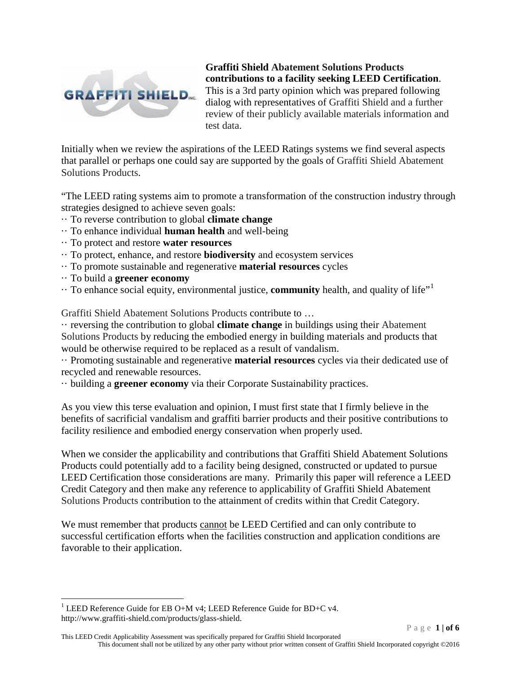

**Graffiti Shield Abatement Solutions Products contributions to a facility seeking LEED Certification**. This is a 3rd party opinion which was prepared following dialog with representatives of Graffiti Shield and a further review of their publicly available materials information and test data.

Initially when we review the aspirations of the LEED Ratings systems we find several aspects that parallel or perhaps one could say are supported by the goals of Graffiti Shield Abatement Solutions Products.

"The LEED rating systems aim to promote a transformation of the construction industry through strategies designed to achieve seven goals:

- ·· To reverse contribution to global **climate change**
- ·· To enhance individual **human health** and well-being
- ·· To protect and restore **water resources**
- ·· To protect, enhance, and restore **biodiversity** and ecosystem services
- ·· To promote sustainable and regenerative **material resources** cycles
- ·· To build a **greener economy**
- $\cdot\cdot$  To enhance social equity, environmental justice, **community** health, and quality of life"<sup>[1](#page-0-0)</sup>

Graffiti Shield Abatement Solutions Products contribute to …

·· reversing the contribution to global **climate change** in buildings using their Abatement Solutions Products by reducing the embodied energy in building materials and products that would be otherwise required to be replaced as a result of vandalism.

·· Promoting sustainable and regenerative **material resources** cycles via their dedicated use of recycled and renewable resources.

·· building a **greener economy** via their Corporate Sustainability practices.

As you view this terse evaluation and opinion, I must first state that I firmly believe in the benefits of sacrificial vandalism and graffiti barrier products and their positive contributions to facility resilience and embodied energy conservation when properly used.

When we consider the applicability and contributions that Graffiti Shield Abatement Solutions Products could potentially add to a facility being designed, constructed or updated to pursue LEED Certification those considerations are many. Primarily this paper will reference a LEED Credit Category and then make any reference to applicability of Graffiti Shield Abatement Solutions Products contribution to the attainment of credits within that Credit Category.

We must remember that products cannot be LEED Certified and can only contribute to successful certification efforts when the facilities construction and application conditions are favorable to their application.

<span id="page-0-0"></span><sup>&</sup>lt;sup>1</sup> LEED Reference Guide for EB O+M v4; LEED Reference Guide for BD+C v4. http://www.graffiti-shield.com/products/glass-shield.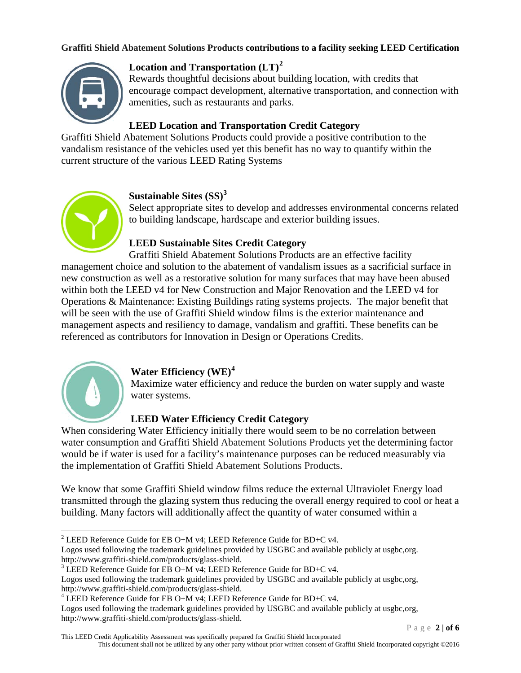

# **Location and Transportation (LT)[2](#page-1-0)**

Rewards thoughtful decisions about building location, with credits that encourage compact development, alternative transportation, and connection with amenities, such as restaurants and parks.

## **LEED Location and Transportation Credit Category**

Graffiti Shield Abatement Solutions Products could provide a positive contribution to the vandalism resistance of the vehicles used yet this benefit has no way to quantify within the current structure of the various LEED Rating Systems



## **Sustainable Sites (SS)[3](#page-1-1)**

Select appropriate sites to develop and addresses environmental concerns related to building landscape, hardscape and exterior building issues.

# **LEED Sustainable Sites Credit Category**

Graffiti Shield Abatement Solutions Products are an effective facility management choice and solution to the abatement of vandalism issues as a sacrificial surface in new construction as well as a restorative solution for many surfaces that may have been abused within both the LEED v4 for New Construction and Major Renovation and the LEED v4 for Operations & Maintenance: Existing Buildings rating systems projects. The major benefit that will be seen with the use of Graffiti Shield window films is the exterior maintenance and management aspects and resiliency to damage, vandalism and graffiti. These benefits can be referenced as contributors for Innovation in Design or Operations Credits.



### **Water Efficiency (WE)[4](#page-1-2)**

Maximize water efficiency and reduce the burden on water supply and waste water systems.

# **LEED Water Efficiency Credit Category**

When considering Water Efficiency initially there would seem to be no correlation between water consumption and Graffiti Shield Abatement Solutions Products yet the determining factor would be if water is used for a facility's maintenance purposes can be reduced measurably via the implementation of Graffiti Shield Abatement Solutions Products.

We know that some Graffiti Shield window films reduce the external Ultraviolet Energy load transmitted through the glazing system thus reducing the overall energy required to cool or heat a building. Many factors will additionally affect the quantity of water consumed within a

Logos used following the trademark guidelines provided by USGBC and available publicly at usgbc,org.<br>http://www.graffiti-shield.com/products/glass-shield.

Page **2 | of 6**

<span id="page-1-0"></span><sup>&</sup>lt;sup>2</sup> LEED Reference Guide for EB O+M v4; LEED Reference Guide for BD+C v4.

<span id="page-1-1"></span><sup>&</sup>lt;sup>3</sup> LEED Reference Guide for EB O+M v4; LEED Reference Guide for BD+C v4.

Logos used following the trademark guidelines provided by USGBC and available publicly at usgbc,org, http://www.graffiti-shield.com/products/glass-shield.

<span id="page-1-2"></span> $4$  LEED Reference Guide for EB O+M v4; LEED Reference Guide for BD+C v4.

Logos used following the trademark guidelines provided by USGBC and available publicly at usgbc,org, http://www.graffiti-shield.com/products/glass-shield.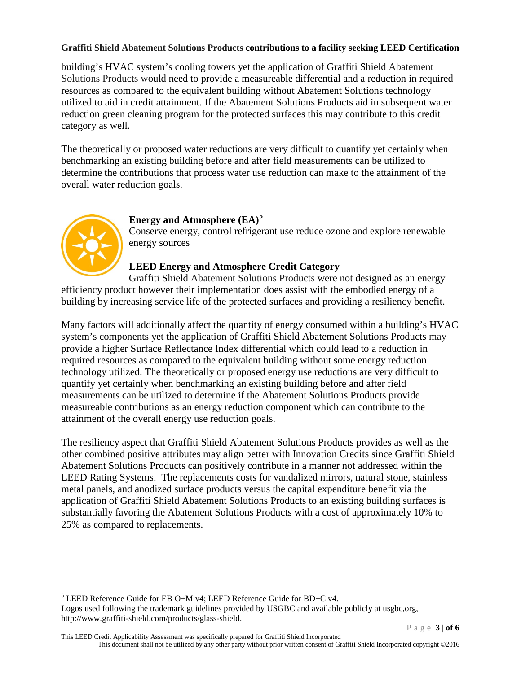building's HVAC system's cooling towers yet the application of Graffiti Shield Abatement Solutions Products would need to provide a measureable differential and a reduction in required resources as compared to the equivalent building without Abatement Solutions technology utilized to aid in credit attainment. If the Abatement Solutions Products aid in subsequent water reduction green cleaning program for the protected surfaces this may contribute to this credit category as well.

The theoretically or proposed water reductions are very difficult to quantify yet certainly when benchmarking an existing building before and after field measurements can be utilized to determine the contributions that process water use reduction can make to the attainment of the overall water reduction goals.



## **Energy and Atmosphere (EA)[5](#page-2-0)**

Conserve energy, control refrigerant use reduce ozone and explore renewable energy sources

## **LEED Energy and Atmosphere Credit Category**

Graffiti Shield Abatement Solutions Products were not designed as an energy efficiency product however their implementation does assist with the embodied energy of a building by increasing service life of the protected surfaces and providing a resiliency benefit.

Many factors will additionally affect the quantity of energy consumed within a building's HVAC system's components yet the application of Graffiti Shield Abatement Solutions Products may provide a higher Surface Reflectance Index differential which could lead to a reduction in required resources as compared to the equivalent building without some energy reduction technology utilized. The theoretically or proposed energy use reductions are very difficult to quantify yet certainly when benchmarking an existing building before and after field measurements can be utilized to determine if the Abatement Solutions Products provide measureable contributions as an energy reduction component which can contribute to the attainment of the overall energy use reduction goals.

The resiliency aspect that Graffiti Shield Abatement Solutions Products provides as well as the other combined positive attributes may align better with Innovation Credits since Graffiti Shield Abatement Solutions Products can positively contribute in a manner not addressed within the LEED Rating Systems. The replacements costs for vandalized mirrors, natural stone, stainless metal panels, and anodized surface products versus the capital expenditure benefit via the application of Graffiti Shield Abatement Solutions Products to an existing building surfaces is substantially favoring the Abatement Solutions Products with a cost of approximately 10% to 25% as compared to replacements.

<span id="page-2-0"></span> $5$  LEED Reference Guide for EB O+M v4; LEED Reference Guide for BD+C v4.

Logos used following the trademark guidelines provided by USGBC and available publicly at usgbc,org, http://www.graffiti-shield.com/products/glass-shield.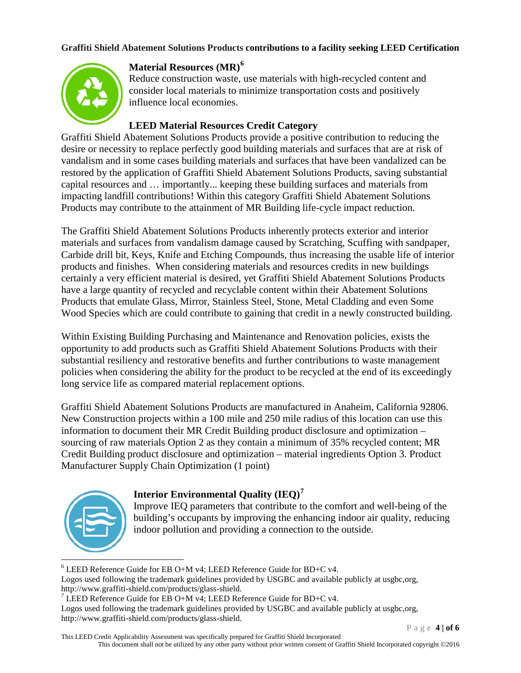

# **Material Resources (MR)[6](#page-3-0)**

Reduce construction waste, use materials with high-recycled content and consider local materials to minimize transportation costs and positively influence local economies.

### **LEED Material Resources Credit Category**

Graffiti Shield Abatement Solutions Products provide a positive contribution to reducing the desire or necessity to replace perfectly good building materials and surfaces that are at risk of vandalism and in some cases building materials and surfaces that have been vandalized can be restored by the application of Graffiti Shield Abatement Solutions Products, saving substantial capital resources and … importantly... keeping these building surfaces and materials from impacting landfill contributions! Within this category Graffiti Shield Abatement Solutions Products may contribute to the attainment of MR Building life-cycle impact reduction.

The Graffiti Shield Abatement Solutions Products inherently protects exterior and interior materials and surfaces from vandalism damage caused by Scratching, Scuffing with sandpaper, Carbide drill bit, Keys, Knife and Etching Compounds, thus increasing the usable life of interior products and finishes. When considering materials and resources credits in new buildings certainly a very efficient material is desired, yet Graffiti Shield Abatement Solutions Products have a large quantity of recycled and recyclable content within their Abatement Solutions Products that emulate Glass, Mirror, Stainless Steel, Stone, Metal Cladding and even Some Wood Species which are could contribute to gaining that credit in a newly constructed building.

Within Existing Building Purchasing and Maintenance and Renovation policies, exists the opportunity to add products such as Graffiti Shield Abatement Solutions Products with their substantial resiliency and restorative benefits and further contributions to waste management policies when considering the ability for the product to be recycled at the end of its exceedingly long service life as compared material replacement options.

Graffiti Shield Abatement Solutions Products are manufactured in Anaheim, California 92806. New Construction projects within a 100 mile and 250 mile radius of this location can use this information to document their MR Credit Building product disclosure and optimization – sourcing of raw materials Option 2 as they contain a minimum of 35% recycled content; MR Credit Building product disclosure and optimization – material ingredients Option 3. Product Manufacturer Supply Chain Optimization (1 point)

# **Interior Environmental Quality (IEQ)[7](#page-3-1)**



Improve IEQ parameters that contribute to the comfort and well-being of the building's occupants by improving the enhancing indoor air quality, reducing indoor pollution and providing a connection to the outside.

Logos used following the trademark guidelines provided by USGBC and available publicly at usgbc,org, http://www.graffiti-shield.com/products/glass-shield.

Logos used following the trademark guidelines provided by USGBC and available publicly at usgbc,org, http://www.graffiti-shield.com/products/glass-shield.

<span id="page-3-0"></span> $6$  LEED Reference Guide for EB O+M v4; LEED Reference Guide for BD+C v4.

<span id="page-3-1"></span><sup>&</sup>lt;sup>7</sup> LEED Reference Guide for EB O+M v4; LEED Reference Guide for BD+C v4.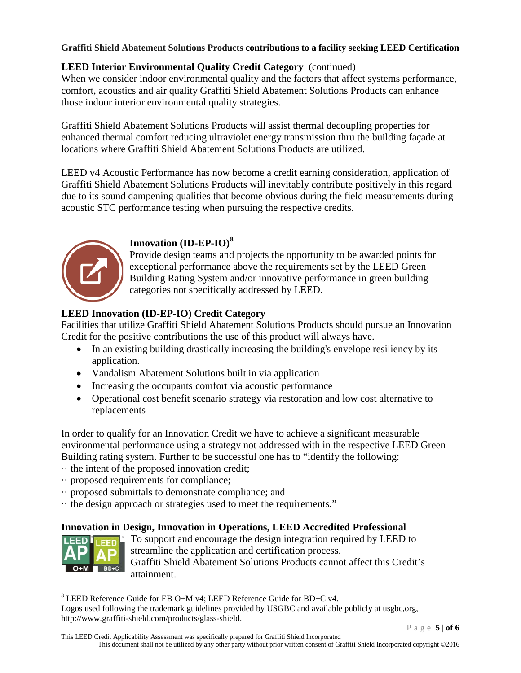## **LEED Interior Environmental Quality Credit Category** (continued)

When we consider indoor environmental quality and the factors that affect systems performance, comfort, acoustics and air quality Graffiti Shield Abatement Solutions Products can enhance those indoor interior environmental quality strategies.

Graffiti Shield Abatement Solutions Products will assist thermal decoupling properties for enhanced thermal comfort reducing ultraviolet energy transmission thru the building façade at locations where Graffiti Shield Abatement Solutions Products are utilized.

LEED v4 Acoustic Performance has now become a credit earning consideration, application of Graffiti Shield Abatement Solutions Products will inevitably contribute positively in this regard due to its sound dampening qualities that become obvious during the field measurements during acoustic STC performance testing when pursuing the respective credits.



## **Innovation (ID-EP-IO)[8](#page-4-0)**

Provide design teams and projects the opportunity to be awarded points for exceptional performance above the requirements set by the LEED Green Building Rating System and/or innovative performance in green building categories not specifically addressed by LEED.

# **LEED Innovation (ID-EP-IO) Credit Category**

Facilities that utilize Graffiti Shield Abatement Solutions Products should pursue an Innovation Credit for the positive contributions the use of this product will always have.

- In an existing building drastically increasing the building's envelope resiliency by its application.
- Vandalism Abatement Solutions built in via application
- Increasing the occupants comfort via acoustic performance
- Operational cost benefit scenario strategy via restoration and low cost alternative to replacements

In order to qualify for an Innovation Credit we have to achieve a significant measurable environmental performance using a strategy not addressed with in the respective LEED Green Building rating system. Further to be successful one has to "identify the following:

- ·· the intent of the proposed innovation credit;
- ·· proposed requirements for compliance;
- ·· proposed submittals to demonstrate compliance; and
- ·· the design approach or strategies used to meet the requirements."

### **Innovation in Design, Innovation in Operations, LEED Accredited Professional**



To support and encourage the design integration required by LEED to streamline the application and certification process. Graffiti Shield Abatement Solutions Products cannot affect this Credit's attainment.

Logos used following the trademark guidelines provided by USGBC and available publicly at usgbc,org, http://www.graffiti-shield.com/products/glass-shield.

<span id="page-4-0"></span> <sup>8</sup> LEED Reference Guide for EB O+M v4; LEED Reference Guide for BD+C v4.